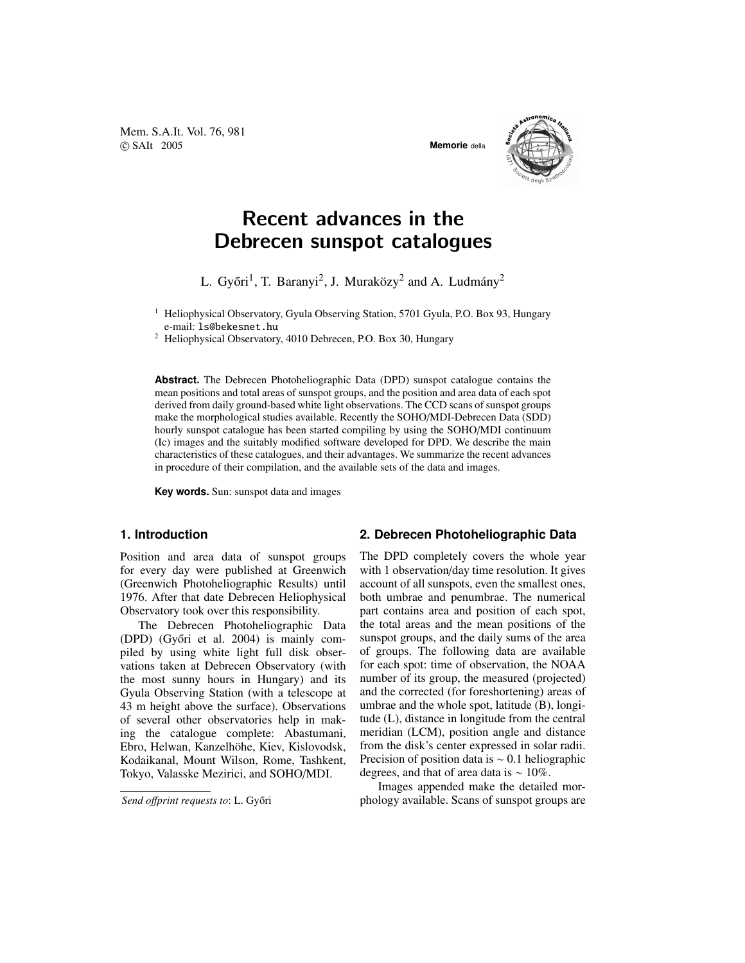Mem. S.A.It. Vol. 76, 981 c SAIt 2005 **Memorie** della



# Recent advances in the Debrecen sunspot catalogues

L. Győri<sup>1</sup>, T. Baranyi<sup>2</sup>, J. Muraközy<sup>2</sup> and A. Ludmány<sup>2</sup>

<sup>1</sup> Heliophysical Observatory, Gyula Observing Station, 5701 Gyula, P.O. Box 93, Hungary e-mail: ls@bekesnet.hu

<sup>2</sup> Heliophysical Observatory, 4010 Debrecen, P.O. Box 30, Hungary

**Abstract.** The Debrecen Photoheliographic Data (DPD) sunspot catalogue contains the mean positions and total areas of sunspot groups, and the position and area data of each spot derived from daily ground-based white light observations. The CCD scans of sunspot groups make the morphological studies available. Recently the SOHO/MDI-Debrecen Data (SDD) hourly sunspot catalogue has been started compiling by using the SOHO/MDI continuum (Ic) images and the suitably modified software developed for DPD. We describe the main characteristics of these catalogues, and their advantages. We summarize the recent advances in procedure of their compilation, and the available sets of the data and images.

**Key words.** Sun: sunspot data and images

## **1. Introduction**

Position and area data of sunspot groups for every day were published at Greenwich (Greenwich Photoheliographic Results) until 1976. After that date Debrecen Heliophysical Observatory took over this responsibility.

The Debrecen Photoheliographic Data (DPD) (Győri et al.  $2004$ ) is mainly compiled by using white light full disk observations taken at Debrecen Observatory (with the most sunny hours in Hungary) and its Gyula Observing Station (with a telescope at 43 m height above the surface). Observations of several other observatories help in making the catalogue complete: Abastumani, Ebro, Helwan, Kanzelhöhe, Kiev, Kislovodsk, Kodaikanal, Mount Wilson, Rome, Tashkent, Tokyo, Valasske Mezirici, and SOHO/MDI.

 $Send$  *offprint requests to*: L. Győri

# **2. Debrecen Photoheliographic Data**

The DPD completely covers the whole year with 1 observation/day time resolution. It gives account of all sunspots, even the smallest ones, both umbrae and penumbrae. The numerical part contains area and position of each spot, the total areas and the mean positions of the sunspot groups, and the daily sums of the area of groups. The following data are available for each spot: time of observation, the NOAA number of its group, the measured (projected) and the corrected (for foreshortening) areas of umbrae and the whole spot, latitude (B), longitude (L), distance in longitude from the central meridian (LCM), position angle and distance from the disk's center expressed in solar radii. Precision of position data is ∼ 0.1 heliographic degrees, and that of area data is ∼ 10%.

Images appended make the detailed morphology available. Scans of sunspot groups are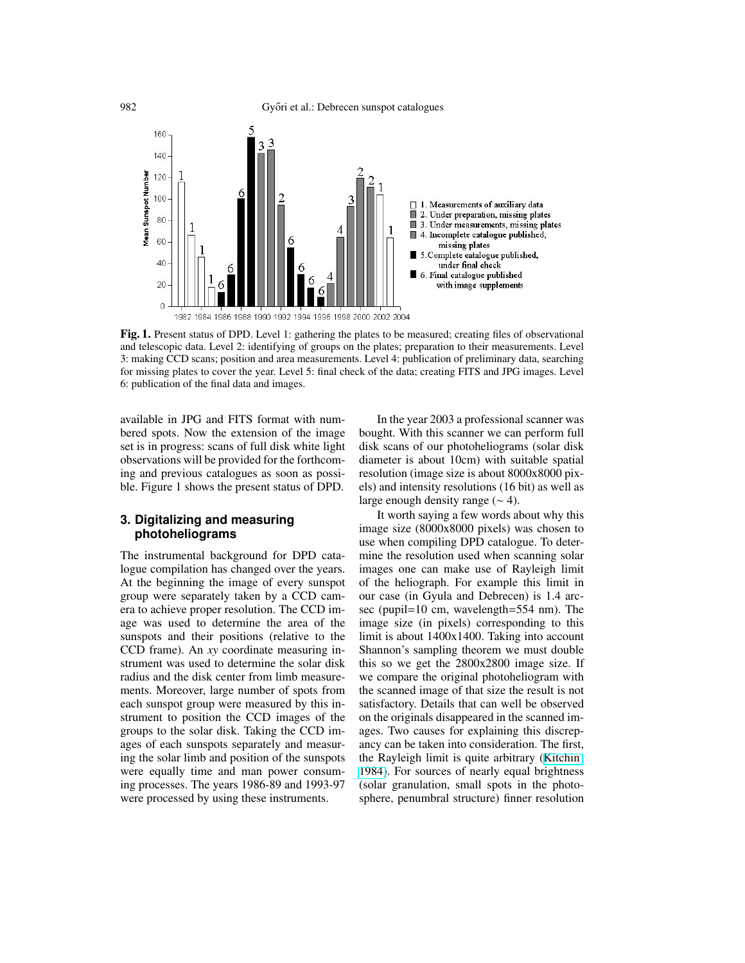

Fig. 1. Present status of DPD. Level 1: gathering the plates to be measured; creating files of observational and telescopic data. Level 2: identifying of groups on the plates; preparation to their measurements. Level 3: making CCD scans; position and area measurements. Level 4: publication of preliminary data, searching for missing plates to cover the year. Level 5: final check of the data; creating FITS and JPG images. Level 6: publication of the final data and images.

available in JPG and FITS format with numbered spots. Now the extension of the image set is in progress: scans of full disk white light observations will be provided for the forthcoming and previous catalogues as soon as possible. Figure 1 shows the present status of DPD.

# **3. Digitalizing and measuring photoheliograms**

The instrumental background for DPD catalogue compilation has changed over the years. At the beginning the image of every sunspot group were separately taken by a CCD camera to achieve proper resolution. The CCD image was used to determine the area of the sunspots and their positions (relative to the CCD frame). An *xy* coordinate measuring instrument was used to determine the solar disk radius and the disk center from limb measurements. Moreover, large number of spots from each sunspot group were measured by this instrument to position the CCD images of the groups to the solar disk. Taking the CCD images of each sunspots separately and measuring the solar limb and position of the sunspots were equally time and man power consuming processes. The years 1986-89 and 1993-97 were processed by using these instruments.

In the year 2003 a professional scanner was bought. With this scanner we can perform full disk scans of our photoheliograms (solar disk diameter is about 10cm) with suitable spatial resolution (image size is about 8000x8000 pixels) and intensity resolutions (16 bit) as well as large enough density range  $(~ 4)$ .

It worth saying a few words about why this image size (8000x8000 pixels) was chosen to use when compiling DPD catalogue. To determine the resolution used when scanning solar images one can make use of Rayleigh limit of the heliograph. For example this limit in our case (in Gyula and Debrecen) is 1.4 arcsec (pupil=10 cm, wavelength=554 nm). The image size (in pixels) corresponding to this limit is about 1400x1400. Taking into account Shannon's sampling theorem we must double this so we get the 2800x2800 image size. If we compare the original photoheliogram with the scanned image of that size the result is not satisfactory. Details that can well be observed on the originals disappeared in the scanned images. Two causes for explaining this discrepancy can be taken into consideration. The first, the Rayleigh limit is quite arbitrary ([Kitchin](#page-3-0) [1984\)](#page-3-0). For sources of nearly equal brightness (solar granulation, small spots in the photosphere, penumbral structure) finner resolution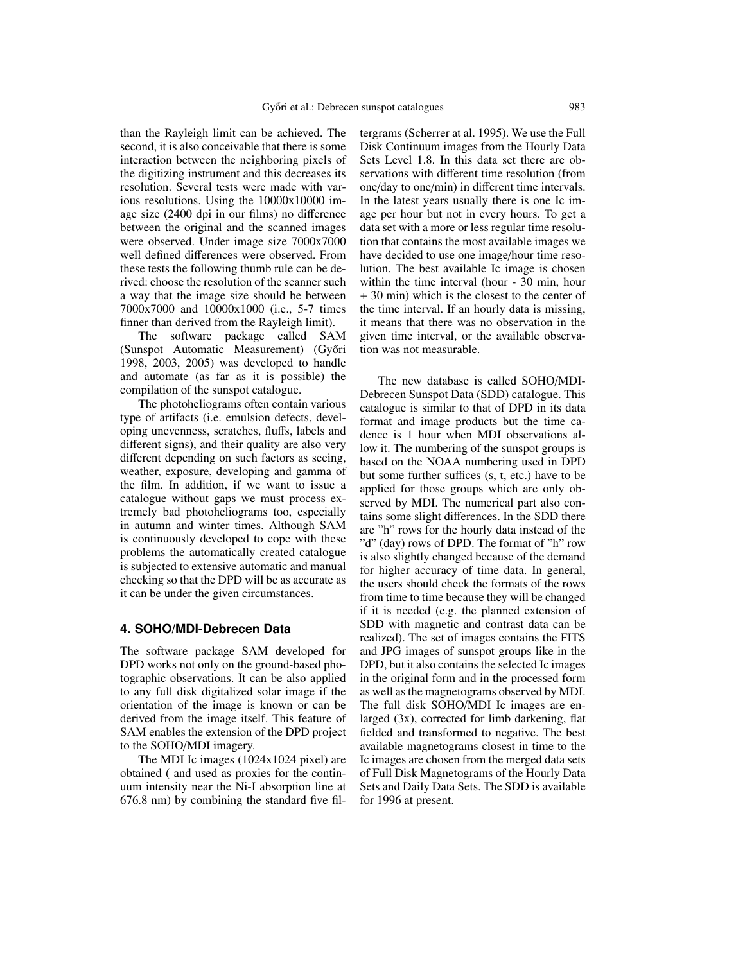than the Rayleigh limit can be achieved. The second, it is also conceivable that there is some interaction between the neighboring pixels of the digitizing instrument and this decreases its resolution. Several tests were made with various resolutions. Using the 10000x10000 image size (2400 dpi in our films) no difference between the original and the scanned images were observed. Under image size 7000x7000 well defined differences were observed. From these tests the following thumb rule can be derived: choose the resolution of the scanner such a way that the image size should be between 7000x7000 and 10000x1000 (i.e., 5-7 times finner than derived from the Rayleigh limit).

The software package called SAM (Sunspot Automatic Measurement) (Győri 1998, 2003, 2005) was developed to handle and automate (as far as it is possible) the compilation of the sunspot catalogue.

The photoheliograms often contain various type of artifacts (i.e. emulsion defects, developing unevenness, scratches, fluffs, labels and different signs), and their quality are also very different depending on such factors as seeing, weather, exposure, developing and gamma of the film. In addition, if we want to issue a catalogue without gaps we must process extremely bad photoheliograms too, especially in autumn and winter times. Although SAM is continuously developed to cope with these problems the automatically created catalogue is subjected to extensive automatic and manual checking so that the DPD will be as accurate as it can be under the given circumstances.

## **4. SOHO/MDI-Debrecen Data**

The software package SAM developed for DPD works not only on the ground-based photographic observations. It can be also applied to any full disk digitalized solar image if the orientation of the image is known or can be derived from the image itself. This feature of SAM enables the extension of the DPD project to the SOHO/MDI imagery.

The MDI Ic images (1024x1024 pixel) are obtained ( and used as proxies for the continuum intensity near the Ni-I absorption line at 676.8 nm) by combining the standard five filtergrams (Scherrer at al. 1995). We use the Full Disk Continuum images from the Hourly Data Sets Level 1.8. In this data set there are observations with different time resolution (from one/day to one/min) in different time intervals. In the latest years usually there is one Ic image per hour but not in every hours. To get a data set with a more or less regular time resolution that contains the most available images we have decided to use one image/hour time resolution. The best available Ic image is chosen within the time interval (hour - 30 min, hour + 30 min) which is the closest to the center of the time interval. If an hourly data is missing, it means that there was no observation in the given time interval, or the available observation was not measurable.

The new database is called SOHO/MDI-Debrecen Sunspot Data (SDD) catalogue. This catalogue is similar to that of DPD in its data format and image products but the time cadence is 1 hour when MDI observations allow it. The numbering of the sunspot groups is based on the NOAA numbering used in DPD but some further suffices (s, t, etc.) have to be applied for those groups which are only observed by MDI. The numerical part also contains some slight differences. In the SDD there are "h" rows for the hourly data instead of the "d" (day) rows of DPD. The format of "h" row is also slightly changed because of the demand for higher accuracy of time data. In general, the users should check the formats of the rows from time to time because they will be changed if it is needed (e.g. the planned extension of SDD with magnetic and contrast data can be realized). The set of images contains the FITS and JPG images of sunspot groups like in the DPD, but it also contains the selected Ic images in the original form and in the processed form as well as the magnetograms observed by MDI. The full disk SOHO/MDI Ic images are enlarged (3x), corrected for limb darkening, flat fielded and transformed to negative. The best available magnetograms closest in time to the Ic images are chosen from the merged data sets of Full Disk Magnetograms of the Hourly Data Sets and Daily Data Sets. The SDD is available for 1996 at present.